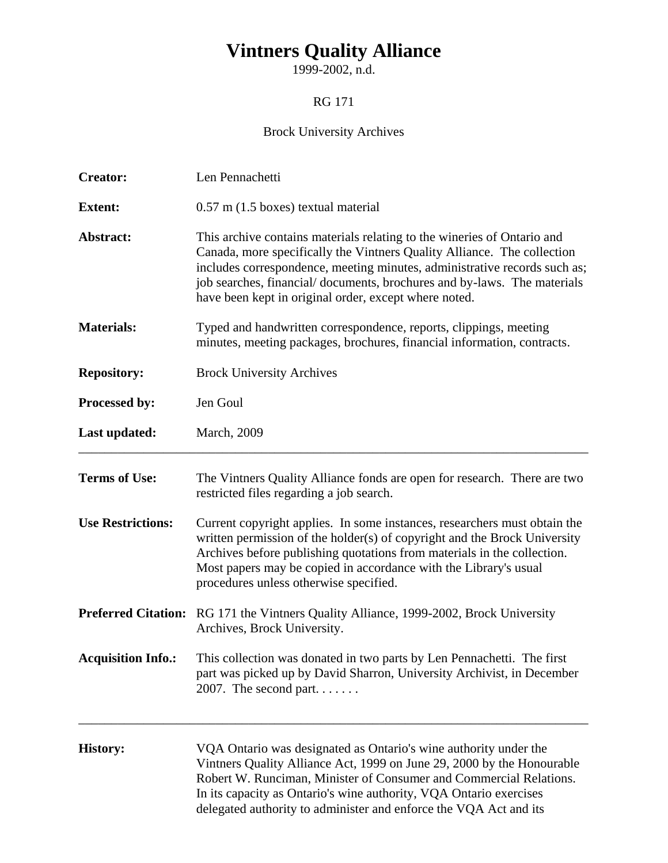## **Vintners Quality Alliance**

1999-2002, n.d.

## RG 171

## Brock University Archives

| <b>Creator:</b>           | Len Pennachetti                                                                                                                                                                                                                                                                                                                                                     |  |  |  |  |
|---------------------------|---------------------------------------------------------------------------------------------------------------------------------------------------------------------------------------------------------------------------------------------------------------------------------------------------------------------------------------------------------------------|--|--|--|--|
| <b>Extent:</b>            | $0.57$ m $(1.5$ boxes) textual material                                                                                                                                                                                                                                                                                                                             |  |  |  |  |
| Abstract:                 | This archive contains materials relating to the wineries of Ontario and<br>Canada, more specifically the Vintners Quality Alliance. The collection<br>includes correspondence, meeting minutes, administrative records such as;<br>job searches, financial/documents, brochures and by-laws. The materials<br>have been kept in original order, except where noted. |  |  |  |  |
| <b>Materials:</b>         | Typed and handwritten correspondence, reports, clippings, meeting<br>minutes, meeting packages, brochures, financial information, contracts.                                                                                                                                                                                                                        |  |  |  |  |
| <b>Repository:</b>        | <b>Brock University Archives</b>                                                                                                                                                                                                                                                                                                                                    |  |  |  |  |
| Processed by:             | Jen Goul                                                                                                                                                                                                                                                                                                                                                            |  |  |  |  |
| Last updated:             | <b>March</b> , 2009                                                                                                                                                                                                                                                                                                                                                 |  |  |  |  |
| <b>Terms of Use:</b>      | The Vintners Quality Alliance fonds are open for research. There are two<br>restricted files regarding a job search.                                                                                                                                                                                                                                                |  |  |  |  |
| <b>Use Restrictions:</b>  | Current copyright applies. In some instances, researchers must obtain the<br>written permission of the holder(s) of copyright and the Brock University<br>Archives before publishing quotations from materials in the collection.<br>Most papers may be copied in accordance with the Library's usual<br>procedures unless otherwise specified.                     |  |  |  |  |
|                           | Preferred Citation: RG 171 the Vintners Quality Alliance, 1999-2002, Brock University<br>Archives, Brock University.                                                                                                                                                                                                                                                |  |  |  |  |
| <b>Acquisition Info.:</b> | This collection was donated in two parts by Len Pennachetti. The first<br>part was picked up by David Sharron, University Archivist, in December<br>2007. The second part                                                                                                                                                                                           |  |  |  |  |
| <b>History:</b>           | VQA Ontario was designated as Ontario's wine authority under the<br>Vintners Quality Alliance Act, 1999 on June 29, 2000 by the Honourable<br>Robert W. Runciman, Minister of Consumer and Commercial Relations.<br>In its capacity as Ontario's wine authority, VQA Ontario exercises<br>delegated authority to administer and enforce the VQA Act and its         |  |  |  |  |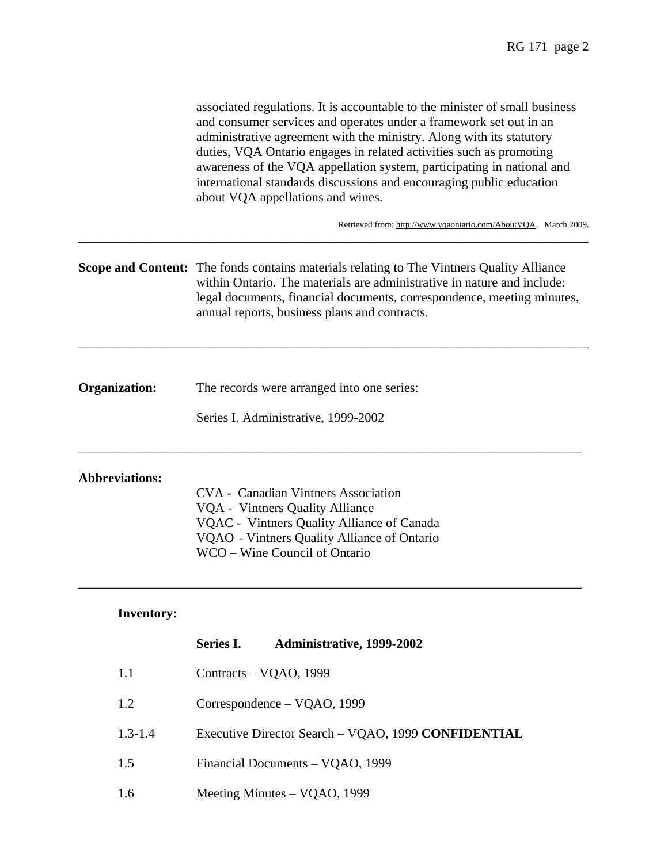|                       | associated regulations. It is accountable to the minister of small business<br>and consumer services and operates under a framework set out in an<br>administrative agreement with the ministry. Along with its statutory<br>duties, VQA Ontario engages in related activities such as promoting<br>awareness of the VQA appellation system, participating in national and<br>international standards discussions and encouraging public education<br>about VQA appellations and wines. |  |  |
|-----------------------|-----------------------------------------------------------------------------------------------------------------------------------------------------------------------------------------------------------------------------------------------------------------------------------------------------------------------------------------------------------------------------------------------------------------------------------------------------------------------------------------|--|--|
|                       | Retrieved from: http://www.vqaontario.com/AboutVQA. March 2009.                                                                                                                                                                                                                                                                                                                                                                                                                         |  |  |
|                       | <b>Scope and Content:</b> The fonds contains materials relating to The Vintners Quality Alliance<br>within Ontario. The materials are administrative in nature and include:<br>legal documents, financial documents, correspondence, meeting minutes,<br>annual reports, business plans and contracts.                                                                                                                                                                                  |  |  |
| Organization:         | The records were arranged into one series:                                                                                                                                                                                                                                                                                                                                                                                                                                              |  |  |
|                       | Series I. Administrative, 1999-2002                                                                                                                                                                                                                                                                                                                                                                                                                                                     |  |  |
| <b>Abbreviations:</b> | <b>CVA</b> - Canadian Vintners Association<br>VQA - Vintners Quality Alliance<br>VQAC - Vintners Quality Alliance of Canada<br>VQAO - Vintners Quality Alliance of Ontario<br>WCO - Wine Council of Ontario                                                                                                                                                                                                                                                                             |  |  |
| <b>Inventory:</b>     |                                                                                                                                                                                                                                                                                                                                                                                                                                                                                         |  |  |
|                       | Series I.<br>Administrative, 1999-2002                                                                                                                                                                                                                                                                                                                                                                                                                                                  |  |  |
| 1.1                   | Contracts - VQAO, 1999                                                                                                                                                                                                                                                                                                                                                                                                                                                                  |  |  |
| 1.2                   | Correspondence - VQAO, 1999                                                                                                                                                                                                                                                                                                                                                                                                                                                             |  |  |
| $1.3 - 1.4$           | Executive Director Search - VQAO, 1999 CONFIDENTIAL                                                                                                                                                                                                                                                                                                                                                                                                                                     |  |  |

- 1.5 Financial Documents VQAO, 1999
- 1.6 Meeting Minutes VQAO, 1999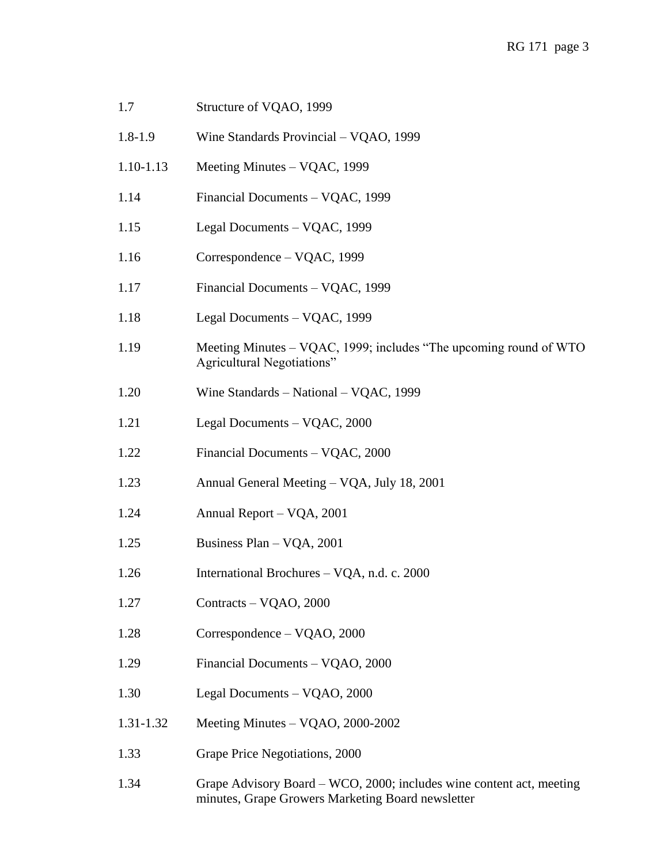| 1.7         | Structure of VQAO, 1999                                                                                                   |
|-------------|---------------------------------------------------------------------------------------------------------------------------|
| $1.8 - 1.9$ | Wine Standards Provincial - VQAO, 1999                                                                                    |
| 1.10-1.13   | Meeting Minutes – VQAC, 1999                                                                                              |
| 1.14        | Financial Documents - VQAC, 1999                                                                                          |
| 1.15        | Legal Documents - VQAC, 1999                                                                                              |
| 1.16        | Correspondence – VQAC, 1999                                                                                               |
| 1.17        | Financial Documents - VQAC, 1999                                                                                          |
| 1.18        | Legal Documents - VQAC, 1999                                                                                              |
| 1.19        | Meeting Minutes – VQAC, 1999; includes "The upcoming round of WTO<br><b>Agricultural Negotiations"</b>                    |
| 1.20        | Wine Standards - National - VQAC, 1999                                                                                    |
| 1.21        | Legal Documents - VQAC, 2000                                                                                              |
| 1.22        | Financial Documents - VQAC, 2000                                                                                          |
| 1.23        | Annual General Meeting – VQA, July 18, 2001                                                                               |
| 1.24        | Annual Report - VQA, 2001                                                                                                 |
| 1.25        | Business Plan - VQA, 2001                                                                                                 |
| 1.26        | International Brochures - VQA, n.d. c. 2000                                                                               |
| 1.27        | Contracts - VQAO, 2000                                                                                                    |
| 1.28        | Correspondence – VQAO, 2000                                                                                               |
| 1.29        | Financial Documents - VQAO, 2000                                                                                          |
| 1.30        | Legal Documents - VQAO, 2000                                                                                              |
| 1.31-1.32   | Meeting Minutes - VQAO, 2000-2002                                                                                         |
| 1.33        | Grape Price Negotiations, 2000                                                                                            |
| 1.34        | Grape Advisory Board – WCO, 2000; includes wine content act, meeting<br>minutes, Grape Growers Marketing Board newsletter |